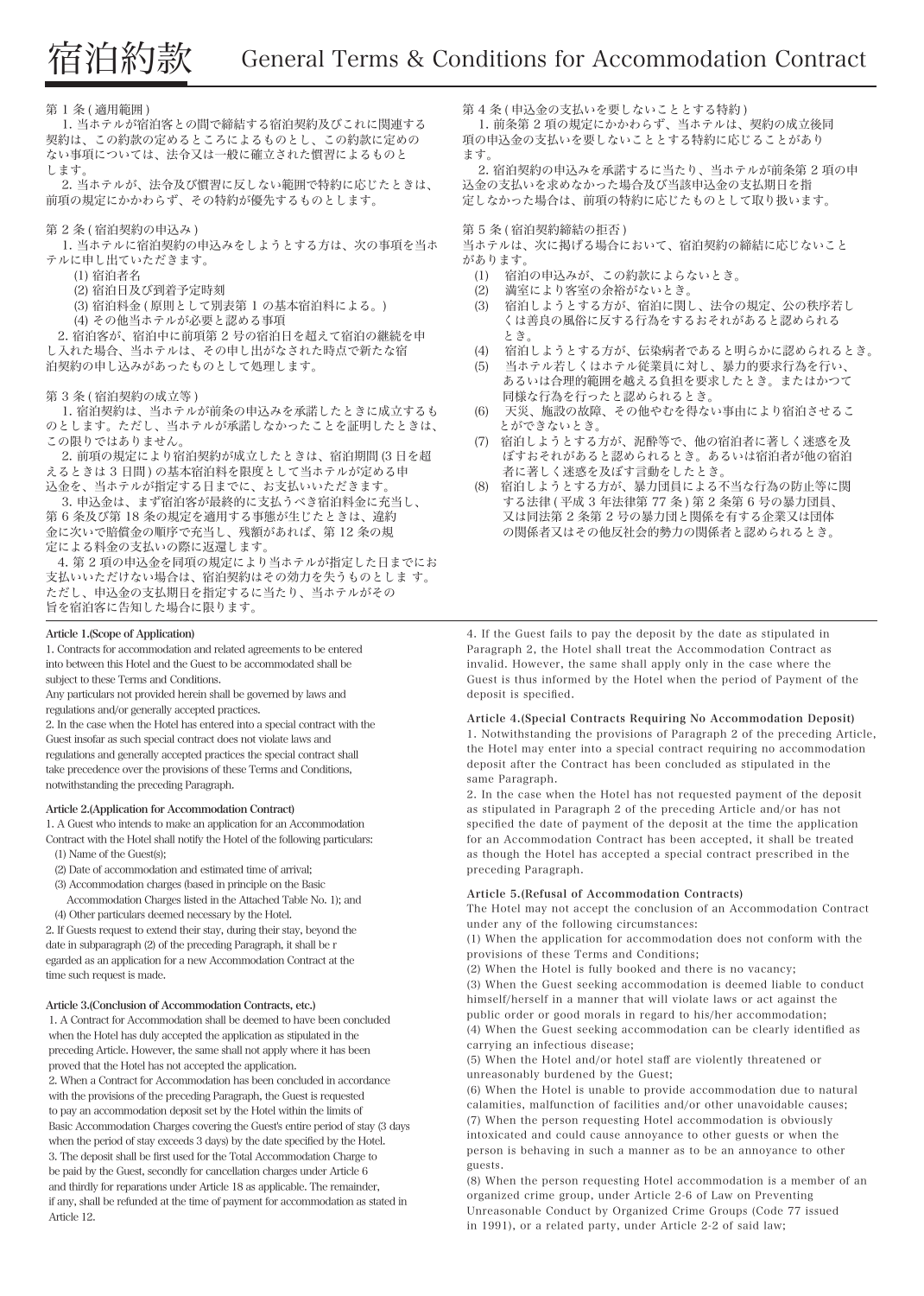### 第 1 条 ( 適用範囲 )

 1. 当ホテルが宿泊客との間で締結する宿泊契約及びこれに関連する 契約は、この約款の定めるところによるものとし、この約款に定めの ない事項については、法令又は一般に確立された慣習によるものと します。

 2. 当ホテルが、法令及び慣習に反しない範囲で特約に応じたときは、 前項の規定にかかわらず、その特約が優先するものとします。

## 第 2 条 ( 宿泊契約の申込み )

 1. 当ホテルに宿泊契約の申込みをしようとする方は、次の事項を当ホ テルに申し出ていただきます。

(1) 宿泊者名

(2) 宿泊日及び到着予定時刻

(3) 宿泊料金 ( 原則として別表第 1 の基本宿泊料による。)

(4) その他当ホテルが必要と認める事項

 2. 宿泊客が、宿泊中に前項第 2 号の宿泊日を超えて宿泊の継続を申 し入れた場合、当ホテルは、その申し出がなされた時点で新たな宿 泊契約の申し込みがあったものとして処理します。

### 第 3 条 ( 宿泊契約の成立等 )

 1. 宿泊契約は、当ホテルが前条の申込みを承諾したときに成立するも のとします。ただし、当ホテルが承諾しなかったことを証明したときは、 この限りではありません。

 2. 前項の規定により宿泊契約が成立したときは、宿泊期間 (3 日を超 えるときは 3 日間 ) の基本宿泊料を限度として当ホテルが定める申 込金を、当ホテルが指定する日までに、お支払いいただきます。

 3. 申込金は、まず宿泊客が最終的に支払うべき宿泊料金に充当し、 第 6 条及び第 18 条の規定を適用する事態が生じたときは、違約 金に次いで賠償金の順序で充当し、残額があれば、第 12 条の規 定による料金の支払いの際に返還します。

 4. 第 2 項の申込金を同項の規定により当ホテルが指定した日までにお 支払いいただけない場合は、宿泊契約はその効力を失うものとしま す。 ただし、申込金の支払期日を指定するに当たり、当ホテルがその 旨を宿泊客に告知した場合に限ります。

### Article 1.(Scope of Application)

1. Contracts for accommodation and related agreements to be entered into between this Hotel and the Guest to be accommodated shall be subject to these Terms and Conditions.

Any particulars not provided herein shall be governed by laws and regulations and/or generally accepted practices.

2. In the case when the Hotel has entered into a special contract with the Guest insofar as such special contract does not violate laws and regulations and generally accepted practices the special contract shall take precedence over the provisions of these Terms and Conditions, notwithstanding the preceding Paragraph.

### Article 2.(Application for Accommodation Contract)

1. A Guest who intends to make an application for an Accommodation Contract with the Hotel shall notify the Hotel of the following particulars: (1) Name of the Guest(s);

(2) Date of accommodation and estimated time of arrival;

(3) Accommodation charges (based in principle on the Basic

 Accommodation Charges listed in the Attached Table No. 1); and (4) Other particulars deemed necessary by the Hotel.

2. If Guests request to extend their stay, during their stay, beyond the date in subparagraph (2) of the preceding Paragraph, it shall be r egarded as an application for a new Accommodation Contract at the time such request is made.

#### Article 3.(Conclusion of Accommodation Contracts, etc.)

 1. A Contract for Accommodation shall be deemed to have been concluded when the Hotel has duly accepted the application as stipulated in the preceding Article. However, the same shall not apply where it has been proved that the Hotel has not accepted the application. 2. When a Contract for Accommodation has been concluded in accordance with the provisions of the preceding Paragraph, the Guest is requested to pay an accommodation deposit set by the Hotel within the limits of Basic Accommodation Charges covering the Guest's entire period of stay (3 days when the period of stay exceeds 3 days) by the date specified by the Hotel. 3. The deposit shall be first used for the Total Accommodation Charge to be paid by the Guest, secondly for cancellation charges under Article 6 and thirdly for reparations under Article 18 as applicable. The remainder, if any, shall be refunded at the time of payment for accommodation as stated in Article 12.

第4条(申込金の支払いを要しないこととする特約)

 1. 前条第 2 項の規定にかかわらず、当ホテルは、契約の成立後同 項の申込金の支払いを要しないこととする特約に応じることがあり ます。

 2. 宿泊契約の申込みを承諾するに当たり、当ホテルが前条第 2 項の申 込金の支払いを求めなかった場合及び当該申込金の支払期日を指 定しなかった場合は、前項の特約に応じたものとして取り扱います。

### 第 5 条 ( 宿泊契約締結の拒否 )

当ホテルは、次に掲げる場合において、宿泊契約の締結に応じないこと があります。

- (1) 宿泊の申込みが、この約款によらないとき。
- (2) 満室により客室の余裕がないとき。
- (3) 宿泊しようとする方が、宿泊に関し、法令の規定、公の秩序若し くは善良の風俗に反する行為をするおそれがあると認められる とき。
- (4) 宿泊しようとする方が、伝染病者であると明らかに認められるとき。
- (5) 当ホテル若しくはホテル従業員に対し、暴力的要求行為を行い、 あるいは合理的範囲を越える負担を要求したとき。またはかつて 同様な行為を行ったと認められるとき。
- (6) 天災、施設の故障、その他やむを得ない事由により宿泊させるこ とができないとき。
- (7) 宿泊しようとする方が、泥酔等で、他の宿泊者に著しく迷惑を及 ぼすおそれがあると認められるとき。あるいは宿泊者が他の宿泊 者に著しく迷惑を及ぼす言動をしたとき。
- (8) 宿泊しようとする方が、暴力団員による不当な行為の防止等に関 する法律 ( 平成 3 年法律第 77 条 ) 第 2 条第 6 号の暴力団員、 又は同法第 2 条第 2 号の暴力団と関係を有する企業又は団体 の関係者又はその他反社会的勢力の関係者と認められるとき。

4. If the Guest fails to pay the deposit by the date as stipulated in Paragraph 2, the Hotel shall treat the Accommodation Contract as invalid. However, the same shall apply only in the case where the Guest is thus informed by the Hotel when the period of Payment of the deposit is specified.

# Article 4.(Special Contracts Requiring No Accommodation Deposit)

1. Notwithstanding the provisions of Paragraph 2 of the preceding Article, the Hotel may enter into a special contract requiring no accommodation deposit after the Contract has been concluded as stipulated in the same Paragraph.

2. In the case when the Hotel has not requested payment of the deposit as stipulated in Paragraph 2 of the preceding Article and/or has not specified the date of payment of the deposit at the time the application for an Accommodation Contract has been accepted, it shall be treated as though the Hotel has accepted a special contract prescribed in the preceding Paragraph.

#### Article 5.(Refusal of Accommodation Contracts)

The Hotel may not accept the conclusion of an Accommodation Contract under any of the following circumstances:

(1) When the application for accommodation does not conform with the provisions of these Terms and Conditions;

(2) When the Hotel is fully booked and there is no vacancy;

(3) When the Guest seeking accommodation is deemed liable to conduct himself/herself in a manner that will violate laws or act against the public order or good morals in regard to his/her accommodation;

(4) When the Guest seeking accommodation can be clearly identified as carrying an infectious disease;

(5) When the Hotel and/or hotel staff are violently threatened or unreasonably burdened by the Guest;

(6) When the Hotel is unable to provide accommodation due to natural calamities, malfunction of facilities and/or other unavoidable causes; (7) When the person requesting Hotel accommodation is obviously intoxicated and could cause annoyance to other guests or when the person is behaving in such a manner as to be an annoyance to other guests.

(8) When the person requesting Hotel accommodation is a member of an organized crime group, under Article 2-6 of Law on Preventing Unreasonable Conduct by Organized Crime Groups (Code 77 issued in 1991), or a related party, under Article 2-2 of said law;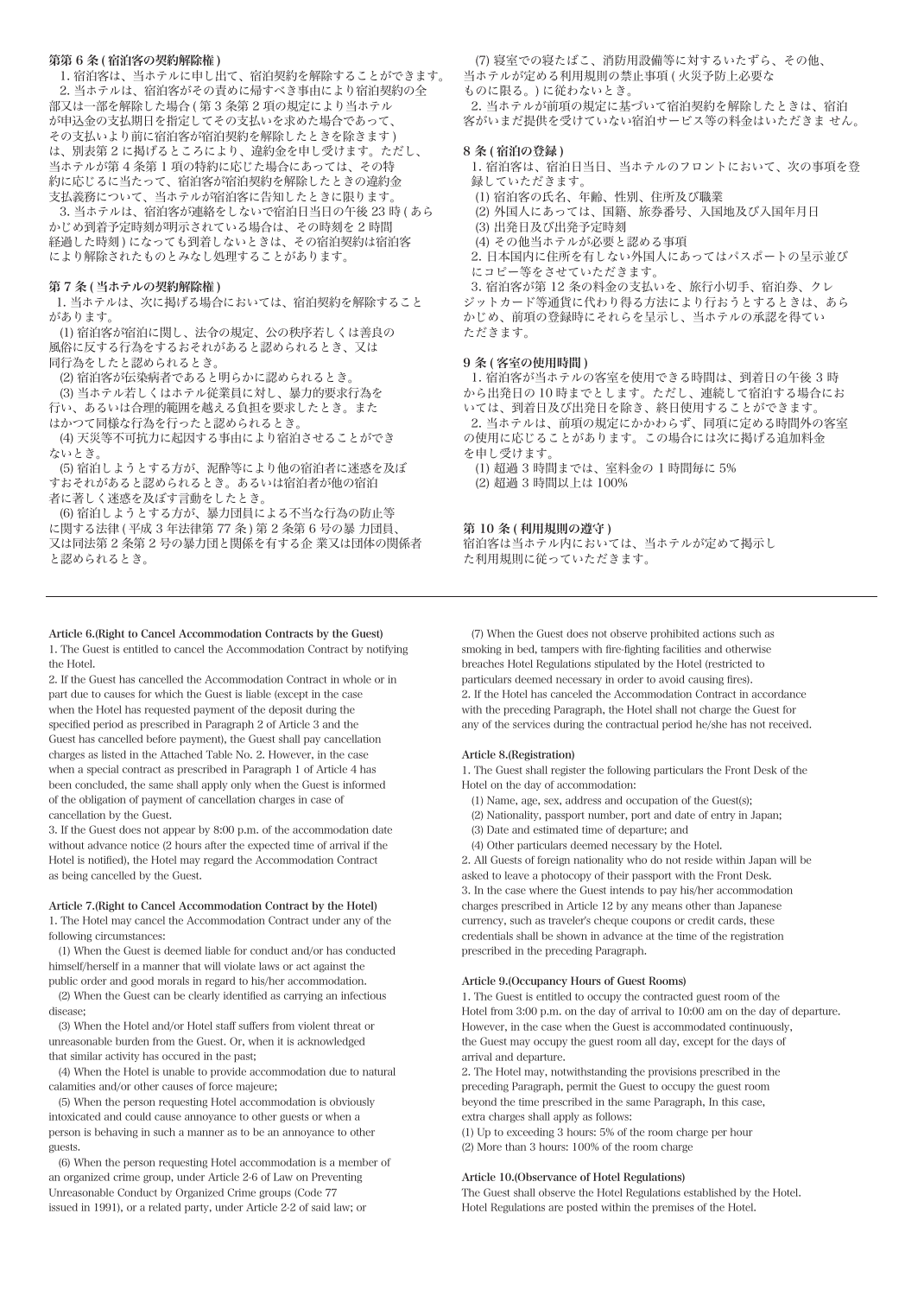# 第第 6 条 ( 宿泊客の契約解除権 )

1. 宿泊客は、当ホテルに申し、<br>1. 宿泊客は、当ホテルに申し出て、宿泊契約を解除することができます。 2. 当ホテルは、宿泊客がその責めに帰すべき事由により宿泊契約の全 部又は一部を解除した場合 (第3条第2項の規定により当ホテル が申込金の支払期日を指定してその支払いを求めた場合であって、 その支払いより前に宿泊客が宿泊契約を解除したときを除きます ) は、別表第 2 に掲げるところにより、違約金を申し受けます。ただし、 当ホテルが第 4 条第 1 項の特約に応じた場合にあっては、その特 約に応じるに当たって、宿泊客が宿泊契約を解除したときの違約金 支払義務について、当ホテルが宿泊客に告知したときに限ります。

 3. 当ホテルは、宿泊客が連絡をしないで宿泊日当日の午後 23 時 ( あら かじめ到着予定時刻が明示されている場合は、その時刻を 2 時間 経過した時刻 ) になっても到着しないときは、その宿泊契約は宿泊客 により解除されたものとみなし処理することがあります。

## 第 7 条 ( 当ホテルの契約解除権 )

 1. 当ホテルは、次に掲げる場合においては、宿泊契約を解除すること があります。

 (1) 宿泊客が宿泊に関し、法令の規定、公の秩序若しくは善良の 風俗に反する行為をするおそれがあると認められるとき、又は 同行為をしたと認められるとき。

(2) 宿泊客が伝染病者であると明らかに認められるとき。

 (3) 当ホテル若しくはホテル従業員に対し、暴力的要求行為を 行い、あるいは合理的範囲を越える負担を要求したとき。また はかつて同様な行為を行ったと認められるとき。

 (4) 天災等不可抗力に起因する事由により宿泊させることができ ないとき。

 (5) 宿泊しようとする方が、泥酔等により他の宿泊者に迷惑を及ぼ すおそれがあると認められるとき。あるいは宿泊者が他の宿泊 者に著しく迷惑を及ぼす言動をしたとき。

 (6) 宿泊しようとする方が、暴力団員による不当な行為の防止等 に関する法律 ( 平成 3 年法律第 77 条 ) 第 2 条第 6 号の暴 力団員、 又は同法第 2 条第 2 号の暴力団と関係を有する企 業又は団体の関係者 と認められるとき。

Article 6.(Right to Cancel Accommodation Contracts by the Guest) 1. The Guest is entitled to cancel the Accommodation Contract by notifying the Hotel.

2. If the Guest has cancelled the Accommodation Contract in whole or in part due to causes for which the Guest is liable (except in the case when the Hotel has requested payment of the deposit during the specified period as prescribed in Paragraph 2 of Article 3 and the Guest has cancelled before payment), the Guest shall pay cancellation charges as listed in the Attached Table No. 2. However, in the case when a special contract as prescribed in Paragraph 1 of Article 4 has been concluded, the same shall apply only when the Guest is informed of the obligation of payment of cancellation charges in case of cancellation by the Guest.

3. If the Guest does not appear by 8:00 p.m. of the accommodation date without advance notice (2 hours after the expected time of arrival if the Hotel is notified), the Hotel may regard the Accommodation Contract as being cancelled by the Guest.

#### Article 7.(Right to Cancel Accommodation Contract by the Hotel)

1. The Hotel may cancel the Accommodation Contract under any of the following circumstances:

 (1) When the Guest is deemed liable for conduct and/or has conducted himself/herself in a manner that will violate laws or act against the public order and good morals in regard to his/her accommodation.

 (2) When the Guest can be clearly identified as carrying an infectious disease;

 (3) When the Hotel and/or Hotel staff suffers from violent threat or unreasonable burden from the Guest. Or, when it is acknowledged that similar activity has occured in the past;

 (4) When the Hotel is unable to provide accommodation due to natural calamities and/or other causes of force majeure;

 (5) When the person requesting Hotel accommodation is obviously intoxicated and could cause annoyance to other guests or when a person is behaving in such a manner as to be an annoyance to other guests.

 (6) When the person requesting Hotel accommodation is a member of an organized crime group, under Article 2-6 of Law on Preventing Unreasonable Conduct by Organized Crime groups (Code 77 issued in 1991), or a related party, under Article 2-2 of said law; or

 (7) 寝室での寝たばこ、消防用設備等に対するいたずら、その他、 当ホテルが定める利用規則の禁止事項 ( 火災予防上必要な ものに限る。) に従わないとき。

 2. 当ホテルが前項の規定に基づいて宿泊契約を解除したときは、宿泊 客がいまだ提供を受けていない宿泊サービス等の料金はいただきま せん。

### 8 条 ( 宿泊の登録 )

 1. 宿泊客は、宿泊日当日、当ホテルのフロントにおいて、次の事項を登 録していただきます。

(1) 宿泊客の氏名、年齢、性別、住所及び職業

 (2) 外国人にあっては、国籍、旅券番号、入国地及び入国年月日 (3) 出発日及び出発予定時刻

(4) その他当ホテルが必要と認める事項

 2. 日本国内に住所を有しない外国人にあってはパスポートの呈示並び にコピー等をさせていただきます。

 3. 宿泊客が第 12 条の料金の支払いを、旅行小切手、宿泊券、クレ ジットカード等通貨に代わり得る方法により行おうとするときは、あら かじめ、前項の登録時にそれらを呈示し、当ホテルの承認を得てい ただきます。

#### 9 条 ( 客室の使用時間 )

 1. 宿泊客が当ホテルの客室を使用できる時間は、到着日の午後 3 時 から出発日の 10 時までとします。ただし、連続して宿泊する場合にお いては、到着日及び出発日を除き、終日使用することができます。 2. 当ホテルは、前項の規定にかかわらず、同項に定める時間外の客室 の使用に応じることがあります。この場合には次に掲げる追加料金 を申し受けます。

 (1) 超過 3 時間までは、室料金の 1 時間毎に 5% (2) 超過 3 時間以上は 100%

#### 第 10 条 ( 利用規則の遵守 )

宿泊客は当ホテル内においては、当ホテルが定めて掲示し た利用規則に従っていただきます。

 (7) When the Guest does not observe prohibited actions such as smoking in bed, tampers with fire-fighting facilities and otherwise breaches Hotel Regulations stipulated by the Hotel (restricted to particulars deemed necessary in order to avoid causing fires). 2. If the Hotel has canceled the Accommodation Contract in accordance with the preceding Paragraph, the Hotel shall not charge the Guest for any of the services during the contractual period he/she has not received.

### Article 8.(Registration)

1. The Guest shall register the following particulars the Front Desk of the Hotel on the day of accommodation:

- (1) Name, age, sex, address and occupation of the Guest(s);
- (2) Nationality, passport number, port and date of entry in Japan;
- (3) Date and estimated time of departure; and
- (4) Other particulars deemed necessary by the Hotel.

2. All Guests of foreign nationality who do not reside within Japan will be asked to leave a photocopy of their passport with the Front Desk. 3. In the case where the Guest intends to pay his/her accommodation charges prescribed in Article 12 by any means other than Japanese currency, such as traveler's cheque coupons or credit cards, these credentials shall be shown in advance at the time of the registration prescribed in the preceding Paragraph.

### Article 9.(Occupancy Hours of Guest Rooms)

1. The Guest is entitled to occupy the contracted guest room of the Hotel from 3:00 p.m. on the day of arrival to 10:00 am on the day of departure. However, in the case when the Guest is accommodated continuously, the Guest may occupy the guest room all day, except for the days of arrival and departure.

2. The Hotel may, notwithstanding the provisions prescribed in the preceding Paragraph, permit the Guest to occupy the guest room beyond the time prescribed in the same Paragraph, In this case, extra charges shall apply as follows:

(1) Up to exceeding 3 hours: 5% of the room charge per hour (2) More than 3 hours: 100% of the room charge

### Article 10.(Observance of Hotel Regulations)

The Guest shall observe the Hotel Regulations established by the Hotel. Hotel Regulations are posted within the premises of the Hotel.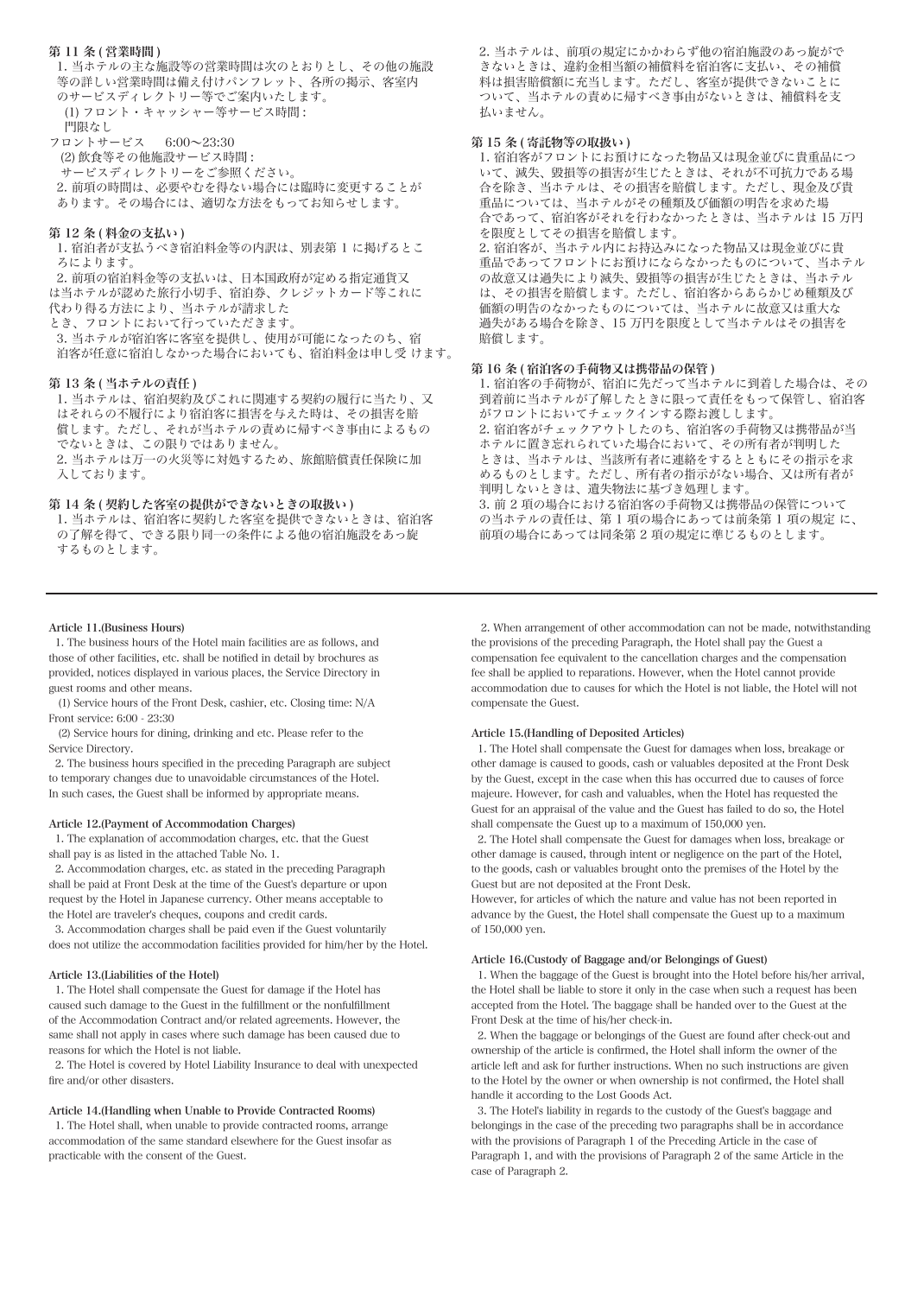#### 第 11 条 ( 営業時間 )

 1. 当ホテルの主な施設等の営業時間は次のとおりとし、その他の施設 等の詳しい営業時間は備え付けパンフレット、各所の掲示、客室内 のサービスディレクトリー等でご案内いたします。 (1) フロント・キャッシャー等サービス時間 : 門限なし

フロントサービス 6:00~23:30 (2) 飲食等その他施設サービス時間 : サービスディレクトリーをご参照ください。 2. 前項の時間は、必要やむを得ない場合には臨時に変更することが あります。その場合には、適切な方法をもってお知らせします。

## 第12条 (料金の支払い)

 1. 宿泊者が支払うべき宿泊料金等の内訳は、別表第 1 に掲げるとこ ろによります。

 2. 前項の宿泊料金等の支払いは、日本国政府が定める指定通貨又 は当ホテルが認めた旅行小切手、宿泊券、クレジットカード等これに 代わり得る方法により、当ホテルが請求した

とき、フロントにおいて行っていただきます。

 3. 当ホテルが宿泊客に客室を提供し、使用が可能になったのち、宿 泊客が任意に宿泊しなかった場合においても、宿泊料金は申し受 けます。

#### 第 13 条 ( 当ホテルの責任 )

 1. 当ホテルは、宿泊契約及びこれに関連する契約の履行に当たり、又 はそれらの不履行により宿泊客に損害を与えた時は、その損害を賠 償します。ただし、それが当ホテルの責めに帰すべき事由によるもの でないときは、この限りではありません。

 2. 当ホテルは万一の火災等に対処するため、旅館賠償責任保険に加 入しております。

## 第14条 (契約した客室の提供ができないときの取扱い)

 1. 当ホテルは、宿泊客に契約した客室を提供できないときは、宿泊客 の了解を得て、できる限り同一の条件による他の宿泊施設をあっ旋 するものとします。

#### Article 11.(Business Hours)

 1. The business hours of the Hotel main facilities are as follows, and those of other facilities, etc. shall be notified in detail by brochures as provided, notices displayed in various places, the Service Directory in guest rooms and other means.

 (1) Service hours of the Front Desk, cashier, etc. Closing time: N/A Front service: 6:00 - 23:30

 (2) Service hours for dining, drinking and etc. Please refer to the Service Directory.

 2. The business hours specified in the preceding Paragraph are subject to temporary changes due to unavoidable circumstances of the Hotel. In such cases, the Guest shall be informed by appropriate means.

### Article 12.(Payment of Accommodation Charges)

 1. The explanation of accommodation charges, etc. that the Guest shall pay is as listed in the attached Table No. 1.

 2. Accommodation charges, etc. as stated in the preceding Paragraph shall be paid at Front Desk at the time of the Guest's departure or upon request by the Hotel in Japanese currency. Other means acceptable to the Hotel are traveler's cheques, coupons and credit cards.

 3. Accommodation charges shall be paid even if the Guest voluntarily does not utilize the accommodation facilities provided for him/her by the Hotel.

#### Article 13.(Liabilities of the Hotel)

 1. The Hotel shall compensate the Guest for damage if the Hotel has caused such damage to the Guest in the fulfillment or the nonfulfillment of the Accommodation Contract and/or related agreements. However, the same shall not apply in cases where such damage has been caused due to reasons for which the Hotel is not liable.

 2. The Hotel is covered by Hotel Liability Insurance to deal with unexpected fire and/or other disasters.

## Article 14.(Handling when Unable to Provide Contracted Rooms)

 1. The Hotel shall, when unable to provide contracted rooms, arrange accommodation of the same standard elsewhere for the Guest insofar as practicable with the consent of the Guest.

 2. 当ホテルは、前項の規定にかかわらず他の宿泊施設のあっ旋がで きないときは、違約金相当額の補償料を宿泊客に支払い、その補償 料は損害賠償額に充当します。ただし、客室が提供できないことに ついて、当ホテルの責めに帰すべき事由がないときは、補償料を支 払いません。

#### 第15条 ( 寄託物等の取扱い )

 1. 宿泊客がフロントにお預けになった物品又は現金並びに貴重品につ いて、滅失、毀損等の損害が生じたときは、それが不可抗力である場 合を除き、当ホテルは、その損害を賠償します。ただし、現金及び貴 重品については、当ホテルがその種類及び価額の明告を求めた場 合であって、宿泊客がそれを行わなかったときは、当ホテルは 15 万円 を限度としてその損害を賠償します。 2. 宿泊客が、当ホテル内にお持込みになった物品又は現金並びに貴 重品であってフロントにお預けにならなかったものについて、当ホテル の故意又は過失により滅失、毀損等の損害が生じたときは、当ホテル は、その損害を賠償します。ただし、宿泊客からあらかじめ種類及び 価額の明告のなかったものについては、当ホテルに故意又は重大な 過失がある場合を除き、15 万円を限度として当ホテルはその損害を 賠償します。

# 第 16 条 ( 宿泊客の手荷物又は携帯品の保管 )

 1. 宿泊客の手荷物が、宿泊に先だって当ホテルに到着した場合は、その 到着前に当ホテルが了解したときに限って責任をもって保管し、宿泊客 がフロントにおいてチェックインする際お渡しします。 2. 宿泊客がチェックアウトしたのち、宿泊客の手荷物又は携帯品が当 ホテルに置き忘れられていた場合において、その所有者が判明した ときは、当ホテルは、当該所有者に連絡をするとともにその指示を求 めるものとします。ただし、所有者の指示がない場合、又は所有者が 判明しないときは、遺失物法に基づき処理します。 3. 前 2 項の場合における宿泊客の手荷物又は携帯品の保管について の当ホテルの責任は、第 1 項の場合にあっては前条第 1 項の規定 に、 前項の場合にあっては同条第 2 項の規定に準じるものとします。

 2. When arrangement of other accommodation can not be made, notwithstanding the provisions of the preceding Paragraph, the Hotel shall pay the Guest a compensation fee equivalent to the cancellation charges and the compensation fee shall be applied to reparations. However, when the Hotel cannot provide accommodation due to causes for which the Hotel is not liable, the Hotel will not compensate the Guest.

# Article 15.(Handling of Deposited Articles)

 1. The Hotel shall compensate the Guest for damages when loss, breakage or other damage is caused to goods, cash or valuables deposited at the Front Desk by the Guest, except in the case when this has occurred due to causes of force majeure. However, for cash and valuables, when the Hotel has requested the Guest for an appraisal of the value and the Guest has failed to do so, the Hotel shall compensate the Guest up to a maximum of 150,000 yen.

 2. The Hotel shall compensate the Guest for damages when loss, breakage or other damage is caused, through intent or negligence on the part of the Hotel, to the goods, cash or valuables brought onto the premises of the Hotel by the Guest but are not deposited at the Front Desk.

However, for articles of which the nature and value has not been reported in advance by the Guest, the Hotel shall compensate the Guest up to a maximum of 150,000 yen.

#### Article 16.(Custody of Baggage and/or Belongings of Guest)

 1. When the baggage of the Guest is brought into the Hotel before his/her arrival, the Hotel shall be liable to store it only in the case when such a request has been accepted from the Hotel. The baggage shall be handed over to the Guest at the Front Desk at the time of his/her check-in.

 2. When the baggage or belongings of the Guest are found after check-out and ownership of the article is confirmed, the Hotel shall inform the owner of the article left and ask for further instructions. When no such instructions are given to the Hotel by the owner or when ownership is not confirmed, the Hotel shall handle it according to the Lost Goods Act.

 3. The Hotel's liability in regards to the custody of the Guest's baggage and belongings in the case of the preceding two paragraphs shall be in accordance with the provisions of Paragraph 1 of the Preceding Article in the case of Paragraph 1, and with the provisions of Paragraph 2 of the same Article in the case of Paragraph 2.